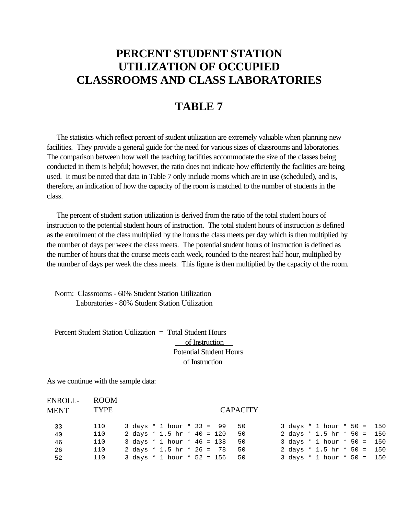## **PERCENT STUDENT STATION UTILIZATION OF OCCUPIED CLASSROOMS AND CLASS LABORATORIES**

## **TABLE 7**

 The statistics which reflect percent of student utilization are extremely valuable when planning new facilities. They provide a general guide for the need for various sizes of classrooms and laboratories. The comparison between how well the teaching facilities accommodate the size of the classes being conducted in them is helpful; however, the ratio does not indicate how efficiently the facilities are being used. It must be noted that data in Table 7 only include rooms which are in use (scheduled), and is, therefore, an indication of how the capacity of the room is matched to the number of students in the class.

 The percent of student station utilization is derived from the ratio of the total student hours of instruction to the potential student hours of instruction. The total student hours of instruction is defined as the enrollment of the class multiplied by the hours the class meets per day which is then multiplied by the number of days per week the class meets. The potential student hours of instruction is defined as the number of hours that the course meets each week, rounded to the nearest half hour, multiplied by the number of days per week the class meets. This figure is then multiplied by the capacity of the room.

 Norm: Classrooms - 60% Student Station Utilization Laboratories - 80% Student Station Utilization

 Percent Student Station Utilization = Total Student Hours of Instruction Potential Student Hours of Instruction

As we continue with the sample data:

| ENROLL-<br>MENT | ROOM<br><b>TYPE</b> |                                         | <b>CAPACITY</b> |                                      |  |
|-----------------|---------------------|-----------------------------------------|-----------------|--------------------------------------|--|
|                 |                     |                                         |                 |                                      |  |
| 33              | 110                 | $3 \text{ days}$ * 1 hour * 33 = 99 50  |                 | 3 days * 1 hour * 50 = 150           |  |
| 40              | 110                 | 2 days * 1.5 hr * 40 = 120              | 50              | 2 days * 1.5 hr * 50 = 150           |  |
| 46              | 110                 | 3 days * 1 hour * 46 = 138              | 50              | 3 days * 1 hour * 50 = 150           |  |
| 26              | 110                 | 2 days * 1.5 hr * 26 = 78               | 50              | 2 days * 1.5 hr * 50 = 150           |  |
| 52              | 110                 | $3 \text{ days}$ * 1 hour * 52 = 156 50 |                 | $3 \text{ days}$ * 1 hour * 50 = 150 |  |
|                 |                     |                                         |                 |                                      |  |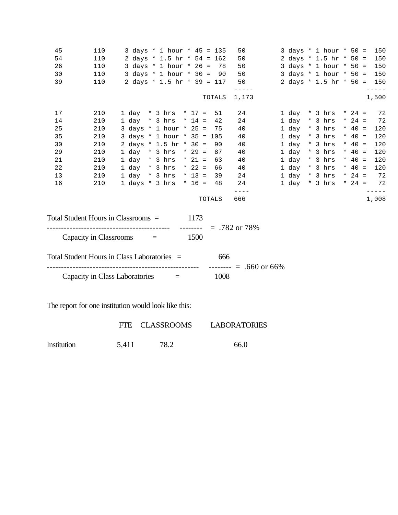| 45 | 110                    | 3 days * 1 hour * 45 = 135                                                                                                                                     |        | 50          | 3 days * 1 hour * 50 =     |          | 150   |
|----|------------------------|----------------------------------------------------------------------------------------------------------------------------------------------------------------|--------|-------------|----------------------------|----------|-------|
| 54 | 110                    | 2 days * 1.5 hr * 54 = 162                                                                                                                                     |        | 50          | 2 days * 1.5 hr * 50 =     |          | 150   |
| 26 | 110                    | 3 days * 1 hour * 26 = 78                                                                                                                                      |        | 50          | 3 days * 1 hour * 50 = 150 |          |       |
| 30 | 110                    | $3 \text{ days} * 1 \text{ hour} * 30 = 90$                                                                                                                    |        | 50          | 3 days * 1 hour * 50 = 150 |          |       |
| 39 | 110                    | 2 days * 1.5 hr * 39 = 117                                                                                                                                     |        | 50          | 2 days * 1.5 hr * 50 = 150 |          |       |
|    |                        |                                                                                                                                                                | TOTALS | 1,173       |                            |          | 1,500 |
| 17 | 210                    | 1 day * 3 hrs * 17 = 51                                                                                                                                        |        | 24          | 1 day * 3 hrs * 24 =       |          | 72    |
| 14 | 210                    | 1 day * 3 hrs * 14 =                                                                                                                                           | 42     | 24          | 1 day * 3 hrs * 24 =       |          | 72    |
| 25 | 210                    | 3 days * 1 hour * 25 = 75                                                                                                                                      |        | 40          | $1 day * 3 hrs$            | $*$ 40 = | 120   |
| 35 | 210                    | 3 days * 1 hour * 35 = 105                                                                                                                                     |        | 40          | $1 day * 3 hrs$            | $* 40 =$ | 120   |
| 30 | 210                    | 2 days * 1.5 hr * 30 =                                                                                                                                         | 90     | 40          | $1 day * 3 hrs$            | * $40 =$ | 120   |
| 29 | 210                    | 1 day * 3 hrs * 29 =                                                                                                                                           | 87     | 40          | $1 day * 3 hrs$            | * $40 =$ | 120   |
| 21 | 210                    | $1 day * 3 hrs * 21 = 63$                                                                                                                                      |        | 40          | $1 day * 3 hrs$            | $* 40 =$ | 120   |
| 22 | 210                    | 1 day * 3 hrs * 22 = 66                                                                                                                                        |        | 40          | $1 day * 3 hrs$            | * $40 =$ | 120   |
| 13 | 210                    | $1 day * 3 hrs * 13 = 39$                                                                                                                                      |        | 24          | $1 day * 3 hrs$            | $* 24 =$ | 72    |
| 16 | 210                    | 1 days * 3 hrs * 16 = 48                                                                                                                                       |        | 24          | $1 day * 3 hrs * 24 = 72$  |          |       |
|    |                        |                                                                                                                                                                | TOTALS | ----<br>666 |                            |          | 1,008 |
|    | Capacity in Classrooms | Total Student Hours in Classrooms =<br>1173<br>$------ = .782$ or 78%<br>-------------------------------------<br>1500<br>$\mathbf{r} = \mathbf{r} \mathbf{r}$ |        |             |                            |          |       |
|    |                        | Total Student Hours in Class Laboratories =                                                                                                                    | 666    |             |                            |          |       |
|    |                        | Capacity in Class Laboratories $=$                                                                                                                             | 1008   |             |                            |          |       |
|    |                        |                                                                                                                                                                |        |             |                            |          |       |

The report for one institution would look like this:

|             |       | FTE CLASSROOMS | <b>LABORATORIES</b> |
|-------------|-------|----------------|---------------------|
| Institution | 5.411 | 78.2           | 66.0                |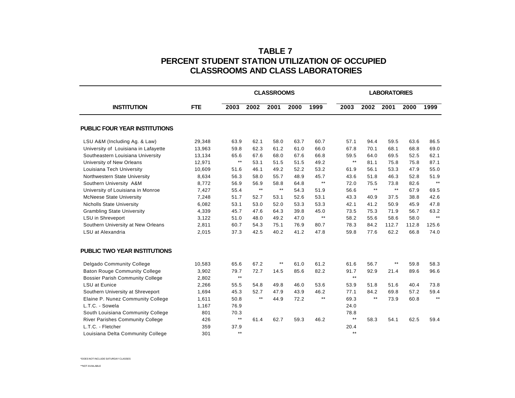## **TABLE 7 PERCENT STUDENT STATION UTILIZATION OF OCCUPIED CLASSROOMS AND CLASS LABORATORIES**

|                                         |            | <b>CLASSROOMS</b> |              |              |      | <b>LABORATORIES</b> |              |              |              |       |       |
|-----------------------------------------|------------|-------------------|--------------|--------------|------|---------------------|--------------|--------------|--------------|-------|-------|
| <b>INSTITUTION</b>                      | <b>FTE</b> | 2003              | 2002         | 2001         | 2000 | 1999                | 2003         | 2002         | 2001         | 2000  | 1999  |
| <b>PUBLIC FOUR YEAR INSTITUTIONS</b>    |            |                   |              |              |      |                     |              |              |              |       |       |
| LSU A&M (Including Ag. & Law)           | 29,348     | 63.9              | 62.1         | 58.0         | 63.7 | 60.7                | 57.1         | 94.4         | 59.5         | 63.6  | 86.5  |
| University of Louisiana in Lafayette    | 13,963     | 59.8              | 62.3         | 61.2         | 61.0 | 66.0                | 67.8         | 70.1         | 68.1         | 68.8  | 69.0  |
| Southeastern Louisiana University       | 13,134     | 65.6              | 67.6         | 68.0         | 67.6 | 66.8                | 59.5         | 64.0         | 69.5         | 52.5  | 62.1  |
| University of New Orleans               | 12,971     | $^{\star\star}$   | 53.1         | 51.5         | 51.5 | 49.2                | $\star\star$ | 81.1         | 75.8         | 75.8  | 87.1  |
| Louisiana Tech University               | 10,609     | 51.6              | 46.1         | 49.2         | 52.2 | 53.2                | 61.9         | 56.1         | 53.3         | 47.9  | 55.0  |
| Northwestern State University           | 8,634      | 56.3              | 58.0         | 55.7         | 48.9 | 45.7                | 43.6         | 51.8         | 46.3         | 52.8  | 51.9  |
| Southern University A&M                 | 8,772      | 56.9              | 56.9         | 58.8         | 64.8 | $\star\star$        | 72.0         | 75.5         | 73.8         | 82.6  | $**$  |
| University of Louisiana in Monroe       | 7,427      | 55.4              | $\star\star$ | $\star\star$ | 54.3 | 51.9                | 56.6         | $\star\star$ | $\star\star$ | 67.9  | 69.5  |
| <b>McNeese State University</b>         | 7,248      | 51.7              | 52.7         | 53.1         | 52.6 | 53.1                | 43.3         | 40.9         | 37.5         | 38.8  | 42.6  |
| <b>Nicholls State University</b>        | 6,082      | 53.1              | 53.0         | 52.0         | 53.3 | 53.3                | 42.1         | 41.2         | 50.9         | 45.9  | 47.8  |
| <b>Grambling State University</b>       | 4,339      | 45.7              | 47.6         | 64.3         | 39.8 | 45.0                | 73.5         | 75.3         | 71.9         | 56.7  | 63.2  |
| LSU in Shreveport                       | 3,122      | 51.0              | 48.0         | 49.2         | 47.0 | $\star\star$        | 58.2         | 55.6         | 58.6         | 58.0  | $**$  |
| Southern University at New Orleans      | 2,811      | 60.7              | 54.3         | 75.1         | 76.9 | 80.7                | 78.3         | 84.2         | 112.7        | 112.8 | 125.6 |
| LSU at Alexandria                       | 2,015      | 37.3              | 42.5         | 40.2         | 41.2 | 47.8                | 59.8         | 77.6         | 62.2         | 66.8  | 74.0  |
| <b>PUBLIC TWO YEAR INSTITUTIONS</b>     |            |                   |              |              |      |                     |              |              |              |       |       |
| <b>Delgado Community College</b>        | 10,583     | 65.6              | 67.2         | $***$        | 61.0 | 61.2                | 61.6         | 56.7         | $***$        | 59.8  | 58.3  |
| <b>Baton Rouge Community College</b>    | 3,902      | 79.7              | 72.7         | 14.5         | 85.6 | 82.2                | 91.7         | 92.9         | 21.4         | 89.6  | 96.6  |
| <b>Bossier Parish Community College</b> | 2,802      | $\star\star$      |              |              |      |                     | $\star\star$ |              |              |       |       |
| <b>LSU at Eunice</b>                    | 2,266      | 55.5              | 54.8         | 49.8         | 46.0 | 53.6                | 53.9         | 51.8         | 51.6         | 40.4  | 73.8  |
| Southern University at Shreveport       | 1,694      | 45.3              | 52.7         | 47.9         | 43.9 | 46.2                | 77.1         | 84.2         | 69.8         | 57.2  | 59.4  |
| Elaine P. Nunez Community College       | 1,611      | 50.8              | $\star\star$ | 44.9         | 72.2 | $***$               | 69.3         | $\star\star$ | 73.9         | 60.8  | $***$ |
| L.T.C. - Sowela                         | 1,167      | 76.9              |              |              |      |                     | 24.0         |              |              |       |       |
| South Louisiana Community College       | 801        | 70.3              |              |              |      |                     | 78.8         |              |              |       |       |
| <b>River Parishes Community College</b> | 426        | $\star\star$      | 61.4         | 62.7         | 59.3 | 46.2                | $\star\star$ | 58.3         | 54.1         | 62.5  | 59.4  |
| L.T.C. - Fletcher                       | 359        | 37.9              |              |              |      |                     | 20.4         |              |              |       |       |
| Louisiana Delta Community College       | 301        | $***$             |              |              |      |                     | $\star\star$ |              |              |       |       |

\*DOES NOT INCLUDE SATURDAY CLASSES

\*\*NOT AVAILABLE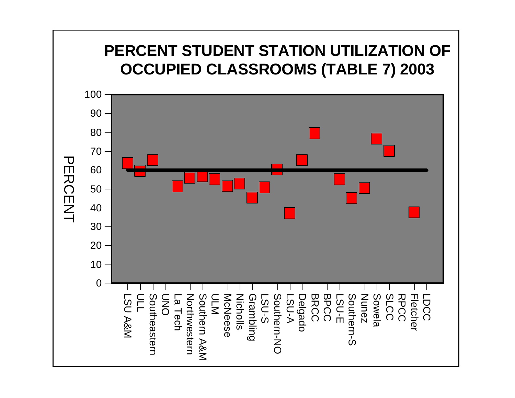